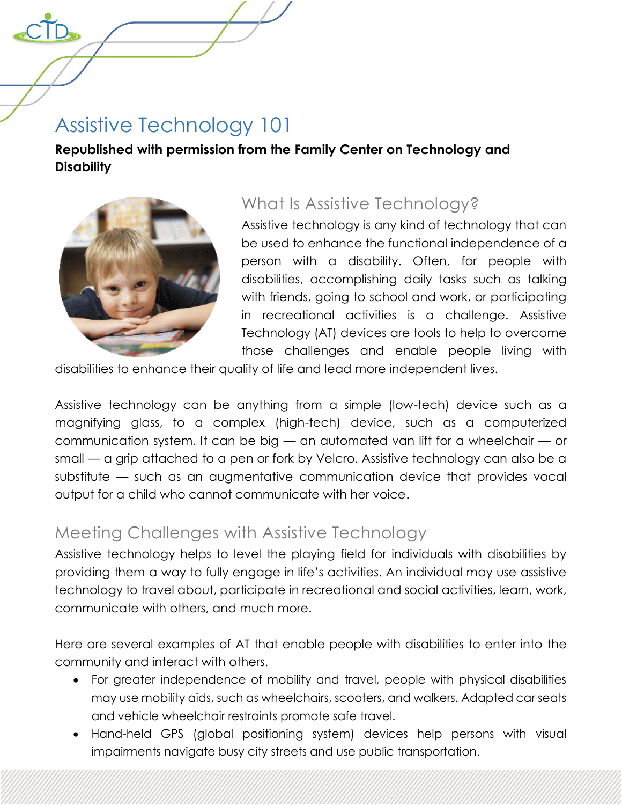# Assistive Technology 101

**Republished with permission from the Family Center on Technology and Disability**



# What Is Assistive Technology?

Assistive technology is any kind of technology that can be used to enhance the functional independence of a person with a disability. Often, for people with disabilities, accomplishing daily tasks such as talking with friends, going to school and work, or participating in recreational activities is a challenge. Assistive Technology (AT) devices are tools to help to overcome those challenges and enable people living with

disabilities to enhance their quality of life and lead more independent lives.

Assistive technology can be anything from a simple (low-tech) device such as a magnifying glass, to a complex (high-tech) device, such as a computerized communication system. It can be big — an automated van lift for a wheelchair — or small — a grip attached to a pen or fork by Velcro. Assistive technology can also be a substitute — such as an augmentative communication device that provides vocal output for a child who cannot communicate with her voice.

### Meeting Challenges with Assistive Technology

Assistive technology helps to level the playing field for individuals with disabilities by providing them a way to fully engage in life's activities. An individual may use assistive technology to travel about, participate in recreational and social activities, learn, work, communicate with others, and much more.

Here are several examples of AT that enable people with disabilities to enter into the community and interact with others.

- For greater independence of mobility and travel, people with physical disabilities may use mobility aids, such as wheelchairs, scooters, and walkers. Adapted car seats and vehicle wheelchair restraints promote safe travel.
- Hand-held GPS (global positioning system) devices help persons with visual impairments navigate busy city streets and use public transportation.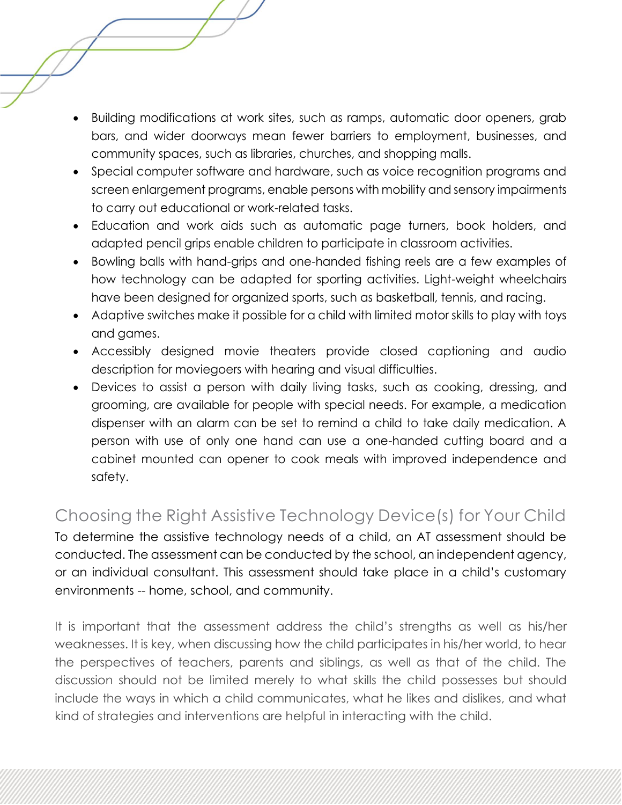- Building modifications at work sites, such as ramps, automatic door openers, grab bars, and wider doorways mean fewer barriers to employment, businesses, and community spaces, such as libraries, churches, and shopping malls.
- Special computer software and hardware, such as voice recognition programs and screen enlargement programs, enable persons with mobility and sensory impairments to carry out educational or work-related tasks.
- Education and work aids such as automatic page turners, book holders, and adapted pencil grips enable children to participate in classroom activities.
- Bowling balls with hand-grips and one-handed fishing reels are a few examples of how technology can be adapted for sporting activities. Light-weight wheelchairs have been designed for organized sports, such as basketball, tennis, and racing.
- Adaptive switches make it possible for a child with limited motor skills to play with toys and games.
- Accessibly designed movie theaters provide closed captioning and audio description for moviegoers with hearing and visual difficulties.
- Devices to assist a person with daily living tasks, such as cooking, dressing, and grooming, are available for people with special needs. For example, a medication dispenser with an alarm can be set to remind a child to take daily medication. A person with use of only one hand can use a one-handed cutting board and a cabinet mounted can opener to cook meals with improved independence and safety.

# Choosing the Right Assistive Technology Device(s) for Your Child

To determine the assistive technology needs of a child, an AT assessment should be conducted. The assessment can be conducted by the school, an independent agency, or an individual consultant. This assessment should take place in a child's customary environments -- home, school, and community.

It is important that the assessment address the child's strengths as well as his/her weaknesses. It is key, when discussing how the child participates in his/her world, to hear the perspectives of teachers, parents and siblings, as well as that of the child. The discussion should not be limited merely to what skills the child possesses but should include the ways in which a child communicates, what he likes and dislikes, and what kind of strategies and interventions are helpful in interacting with the child.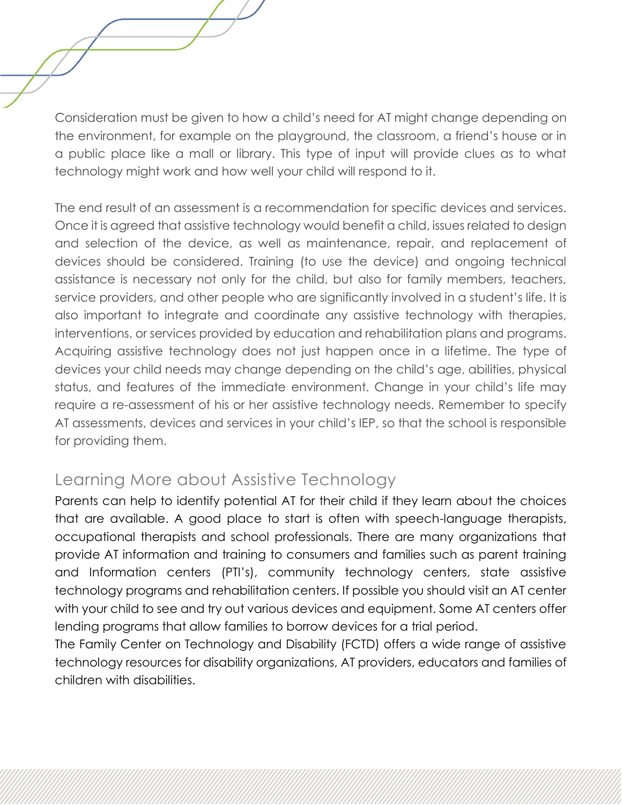Consideration must be given to how a child's need for AT might change depending on the environment, for example on the playground, the classroom, a friend's house or in a public place like a mall or library. This type of input will provide clues as to what technology might work and how well your child will respond to it.

The end result of an assessment is a recommendation for specific devices and services. Once it is agreed that assistive technology would benefit a child, issues related to design and selection of the device, as well as maintenance, repair, and replacement of devices should be considered. Training (to use the device) and ongoing technical assistance is necessary not only for the child, but also for family members, teachers, service providers, and other people who are significantly involved in a student's life. It is also important to integrate and coordinate any assistive technology with therapies, interventions, or services provided by education and rehabilitation plans and programs. Acquiring assistive technology does not just happen once in a lifetime. The type of devices your child needs may change depending on the child's age, abilities, physical status, and features of the immediate environment. Change in your child's life may require a re-assessment of his or her assistive technology needs. Remember to specify AT assessments, devices and services in your child's IEP, so that the school is responsible for providing them.

### Learning More about Assistive Technology

Parents can help to identify potential AT for their child if they learn about the choices that are available. A good place to start is often with speech-language therapists, occupational therapists and school professionals. There are many organizations that provide AT information and training to consumers and families such as parent training and Information centers (PTI's), community technology centers, state assistive technology programs and rehabilitation centers. If possible you should visit an AT center with your child to see and try out various devices and equipment. Some AT centers offer lending programs that allow families to borrow devices for a trial period.

The Family Center on Technology and Disability (FCTD) offers a wide range of assistive technology resources for disability organizations, AT providers, educators and families of children with disabilities.